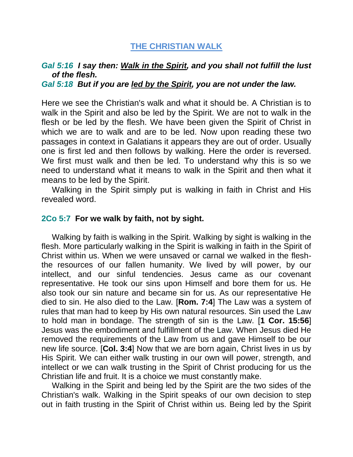## **THE CHRISTIAN WALK**

## *Gal 5:16 I say then: Walk in the Spirit, and you shall not fulfill the lust of the flesh.*

*Gal 5:18 But if you are led by the Spirit, you are not under the law.* 

Here we see the Christian's walk and what it should be. A Christian is to walk in the Spirit and also be led by the Spirit. We are not to walk in the flesh or be led by the flesh. We have been given the Spirit of Christ in which we are to walk and are to be led. Now upon reading these two passages in context in Galatians it appears they are out of order. Usually one is first led and then follows by walking. Here the order is reversed. We first must walk and then be led. To understand why this is so we need to understand what it means to walk in the Spirit and then what it means to be led by the Spirit.

Walking in the Spirit simply put is walking in faith in Christ and His revealed word.

## **2Co 5:7 For we walk by faith, not by sight.**

Walking by faith is walking in the Spirit. Walking by sight is walking in the flesh. More particularly walking in the Spirit is walking in faith in the Spirit of Christ within us. When we were unsaved or carnal we walked in the fleshthe resources of our fallen humanity. We lived by will power, by our intellect, and our sinful tendencies. Jesus came as our covenant representative. He took our sins upon Himself and bore them for us. He also took our sin nature and became sin for us. As our representative He died to sin. He also died to the Law. [**Rom. 7:4**] The Law was a system of rules that man had to keep by His own natural resources. Sin used the Law to hold man in bondage. The strength of sin is the Law. [**1 Cor. 15:56**] Jesus was the embodiment and fulfillment of the Law. When Jesus died He removed the requirements of the Law from us and gave Himself to be our new life source. [**Col. 3:4**] Now that we are born again, Christ lives in us by His Spirit. We can either walk trusting in our own will power, strength, and intellect or we can walk trusting in the Spirit of Christ producing for us the Christian life and fruit. It is a choice we must constantly make.

Walking in the Spirit and being led by the Spirit are the two sides of the Christian's walk. Walking in the Spirit speaks of our own decision to step out in faith trusting in the Spirit of Christ within us. Being led by the Spirit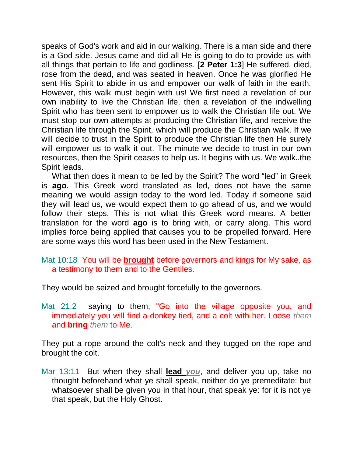speaks of God's work and aid in our walking. There is a man side and there is a God side. Jesus came and did all He is going to do to provide us with all things that pertain to life and godliness. [**2 Peter 1:3**] He suffered, died, rose from the dead, and was seated in heaven. Once he was glorified He sent His Spirit to abide in us and empower our walk of faith in the earth. However, this walk must begin with us! We first need a revelation of our own inability to live the Christian life, then a revelation of the indwelling Spirit who has been sent to empower us to walk the Christian life out. We must stop our own attempts at producing the Christian life, and receive the Christian life through the Spirit, which will produce the Christian walk. If we will decide to trust in the Spirit to produce the Christian life then He surely will empower us to walk it out. The minute we decide to trust in our own resources, then the Spirit ceases to help us. It begins with us. We walk..the Spirit leads.

What then does it mean to be led by the Spirit? The word "led" in Greek is **ago**. This Greek word translated as led, does not have the same meaning we would assign today to the word led. Today if someone said they will lead us, we would expect them to go ahead of us, and we would follow their steps. This is not what this Greek word means. A better translation for the word **ago** is to bring with, or carry along. This word implies force being applied that causes you to be propelled forward. Here are some ways this word has been used in the New Testament.

## Mat 10:18 You will be **brought** before governors and kings for My sake, as a testimony to them and to the Gentiles.

They would be seized and brought forcefully to the governors.

Mat 21:2 saying to them, "Go into the village opposite you, and immediately you will find a donkey tied, and a colt with her. Loose *them* and **bring** *them* to Me.

They put a rope around the colt's neck and they tugged on the rope and brought the colt.

Mar 13:11 But when they shall **lead** *you*, and deliver you up, take no thought beforehand what ye shall speak, neither do ye premeditate: but whatsoever shall be given you in that hour, that speak ye: for it is not ye that speak, but the Holy Ghost.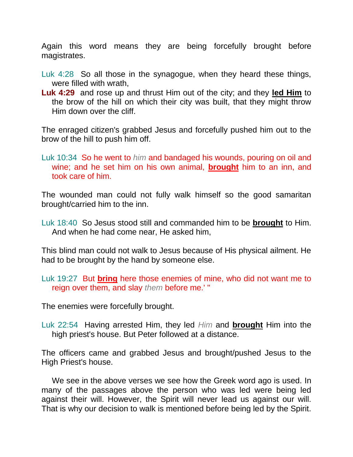Again this word means they are being forcefully brought before magistrates.

- Luk 4:28 So all those in the synagogue, when they heard these things, were filled with wrath,
- **Luk 4:29** and rose up and thrust Him out of the city; and they **led Him** to the brow of the hill on which their city was built, that they might throw Him down over the cliff.

The enraged citizen's grabbed Jesus and forcefully pushed him out to the brow of the hill to push him off.

Luk 10:34 So he went to *him* and bandaged his wounds, pouring on oil and wine; and he set him on his own animal, **brought** him to an inn, and took care of him.

The wounded man could not fully walk himself so the good samaritan brought/carried him to the inn.

Luk 18:40 So Jesus stood still and commanded him to be **brought** to Him. And when he had come near, He asked him,

This blind man could not walk to Jesus because of His physical ailment. He had to be brought by the hand by someone else.

Luk 19:27 But **bring** here those enemies of mine, who did not want me to reign over them, and slay *them* before me.' "

The enemies were forcefully brought.

Luk 22:54 Having arrested Him, they led *Him* and **brought** Him into the high priest's house. But Peter followed at a distance.

The officers came and grabbed Jesus and brought/pushed Jesus to the High Priest's house.

We see in the above verses we see how the Greek word ago is used. In many of the passages above the person who was led were being led against their will. However, the Spirit will never lead us against our will. That is why our decision to walk is mentioned before being led by the Spirit.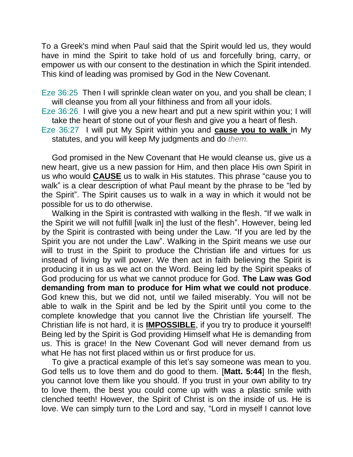To a Greek's mind when Paul said that the Spirit would led us, they would have in mind the Spirit to take hold of us and forcefully bring, carry, or empower us with our consent to the destination in which the Spirit intended. This kind of leading was promised by God in the New Covenant.

Eze 36:25 Then I will sprinkle clean water on you, and you shall be clean; I will cleanse you from all your filthiness and from all your idols.

Eze 36:26 I will give you a new heart and put a new spirit within you; I will take the heart of stone out of your flesh and give you a heart of flesh.

Eze 36:27 I will put My Spirit within you and **cause you to walk** in My statutes, and you will keep My judgments and do *them.*

God promised in the New Covenant that He would cleanse us, give us a new heart, give us a new passion for Him, and then place His own Spirit in us who would **CAUSE** us to walk in His statutes. This phrase "cause you to walk" is a clear description of what Paul meant by the phrase to be "led by the Spirit". The Spirit causes us to walk in a way in which it would not be possible for us to do otherwise.

Walking in the Spirit is contrasted with walking in the flesh. "If we walk in the Spirit we will not fulfill [walk in] the lust of the flesh". However, being led by the Spirit is contrasted with being under the Law. "If you are led by the Spirit you are not under the Law". Walking in the Spirit means we use our will to trust in the Spirit to produce the Christian life and virtues for us instead of living by will power. We then act in faith believing the Spirit is producing it in us as we act on the Word. Being led by the Spirit speaks of God producing for us what we cannot produce for God. **The Law was God demanding from man to produce for Him what we could not produce**. God knew this, but we did not, until we failed miserably. You will not be able to walk in the Spirit and be led by the Spirit until you come to the complete knowledge that you cannot live the Christian life yourself. The Christian life is not hard, it is **IMPOSSIBLE**, if you try to produce it yourself! Being led by the Spirit is God providing Himself what He is demanding from us. This is grace! In the New Covenant God will never demand from us what He has not first placed within us or first produce for us.

To give a practical example of this let's say someone was mean to you. God tells us to love them and do good to them. [**Matt. 5:44**] In the flesh, you cannot love them like you should. If you trust in your own ability to try to love them, the best you could come up with was a plastic smile with clenched teeth! However, the Spirit of Christ is on the inside of us. He is love. We can simply turn to the Lord and say, "Lord in myself I cannot love